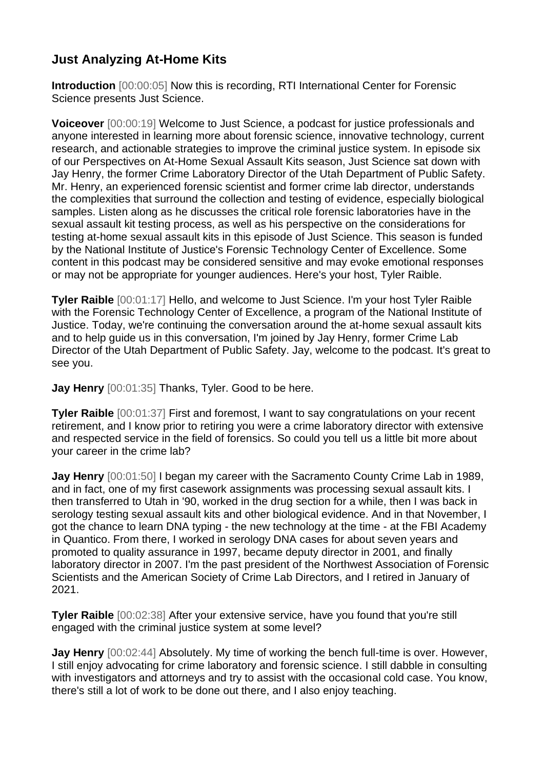## **Just Analyzing At-Home Kits**

**Introduction** [00:00:05] Now this is recording, RTI International Center for Forensic Science presents Just Science.

**Voiceover** [00:00:19] Welcome to Just Science, a podcast for justice professionals and anyone interested in learning more about forensic science, innovative technology, current research, and actionable strategies to improve the criminal justice system. In episode six of our Perspectives on At-Home Sexual Assault Kits season, Just Science sat down with Jay Henry, the former Crime Laboratory Director of the Utah Department of Public Safety. Mr. Henry, an experienced forensic scientist and former crime lab director, understands the complexities that surround the collection and testing of evidence, especially biological samples. Listen along as he discusses the critical role forensic laboratories have in the sexual assault kit testing process, as well as his perspective on the considerations for testing at-home sexual assault kits in this episode of Just Science. This season is funded by the National Institute of Justice's Forensic Technology Center of Excellence. Some content in this podcast may be considered sensitive and may evoke emotional responses or may not be appropriate for younger audiences. Here's your host, Tyler Raible.

**Tyler Raible** [00:01:17] Hello, and welcome to Just Science. I'm your host Tyler Raible with the Forensic Technology Center of Excellence, a program of the National Institute of Justice. Today, we're continuing the conversation around the at-home sexual assault kits and to help guide us in this conversation, I'm joined by Jay Henry, former Crime Lab Director of the Utah Department of Public Safety. Jay, welcome to the podcast. It's great to see you.

**Jay Henry** [00:01:35] Thanks, Tyler. Good to be here.

**Tyler Raible** [00:01:37] First and foremost, I want to say congratulations on your recent retirement, and I know prior to retiring you were a crime laboratory director with extensive and respected service in the field of forensics. So could you tell us a little bit more about your career in the crime lab?

**Jay Henry** [00:01:50] I began my career with the Sacramento County Crime Lab in 1989, and in fact, one of my first casework assignments was processing sexual assault kits. I then transferred to Utah in '90, worked in the drug section for a while, then I was back in serology testing sexual assault kits and other biological evidence. And in that November, I got the chance to learn DNA typing - the new technology at the time - at the FBI Academy in Quantico. From there, I worked in serology DNA cases for about seven years and promoted to quality assurance in 1997, became deputy director in 2001, and finally laboratory director in 2007. I'm the past president of the Northwest Association of Forensic Scientists and the American Society of Crime Lab Directors, and I retired in January of 2021.

**Tyler Raible** [00:02:38] After your extensive service, have you found that you're still engaged with the criminal justice system at some level?

**Jay Henry** [00:02:44] Absolutely. My time of working the bench full-time is over. However, I still enjoy advocating for crime laboratory and forensic science. I still dabble in consulting with investigators and attorneys and try to assist with the occasional cold case. You know, there's still a lot of work to be done out there, and I also enjoy teaching.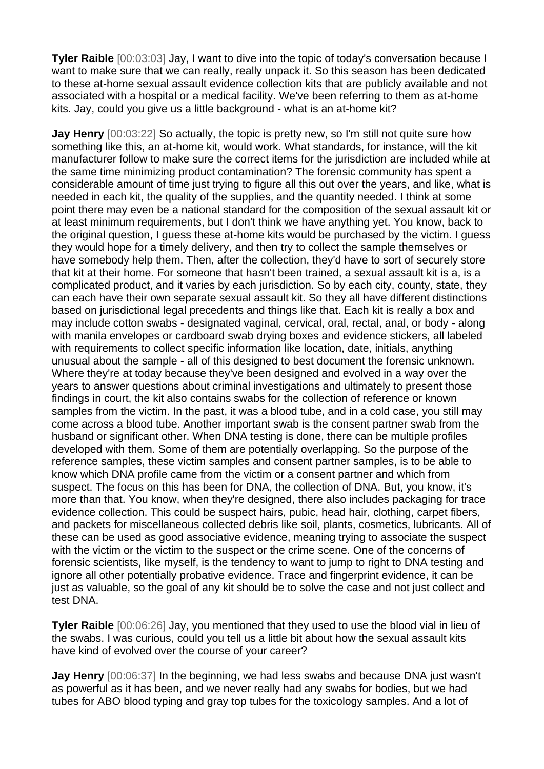**Tyler Raible** [00:03:03] Jay, I want to dive into the topic of today's conversation because I want to make sure that we can really, really unpack it. So this season has been dedicated to these at-home sexual assault evidence collection kits that are publicly available and not associated with a hospital or a medical facility. We've been referring to them as at-home kits. Jay, could you give us a little background - what is an at-home kit?

**Jay Henry** [00:03:22] So actually, the topic is pretty new, so I'm still not quite sure how something like this, an at-home kit, would work. What standards, for instance, will the kit manufacturer follow to make sure the correct items for the jurisdiction are included while at the same time minimizing product contamination? The forensic community has spent a considerable amount of time just trying to figure all this out over the years, and like, what is needed in each kit, the quality of the supplies, and the quantity needed. I think at some point there may even be a national standard for the composition of the sexual assault kit or at least minimum requirements, but I don't think we have anything yet. You know, back to the original question, I guess these at-home kits would be purchased by the victim. I guess they would hope for a timely delivery, and then try to collect the sample themselves or have somebody help them. Then, after the collection, they'd have to sort of securely store that kit at their home. For someone that hasn't been trained, a sexual assault kit is a, is a complicated product, and it varies by each jurisdiction. So by each city, county, state, they can each have their own separate sexual assault kit. So they all have different distinctions based on jurisdictional legal precedents and things like that. Each kit is really a box and may include cotton swabs - designated vaginal, cervical, oral, rectal, anal, or body - along with manila envelopes or cardboard swab drying boxes and evidence stickers, all labeled with requirements to collect specific information like location, date, initials, anything unusual about the sample - all of this designed to best document the forensic unknown. Where they're at today because they've been designed and evolved in a way over the years to answer questions about criminal investigations and ultimately to present those findings in court, the kit also contains swabs for the collection of reference or known samples from the victim. In the past, it was a blood tube, and in a cold case, you still may come across a blood tube. Another important swab is the consent partner swab from the husband or significant other. When DNA testing is done, there can be multiple profiles developed with them. Some of them are potentially overlapping. So the purpose of the reference samples, these victim samples and consent partner samples, is to be able to know which DNA profile came from the victim or a consent partner and which from suspect. The focus on this has been for DNA, the collection of DNA. But, you know, it's more than that. You know, when they're designed, there also includes packaging for trace evidence collection. This could be suspect hairs, pubic, head hair, clothing, carpet fibers, and packets for miscellaneous collected debris like soil, plants, cosmetics, lubricants. All of these can be used as good associative evidence, meaning trying to associate the suspect with the victim or the victim to the suspect or the crime scene. One of the concerns of forensic scientists, like myself, is the tendency to want to jump to right to DNA testing and ignore all other potentially probative evidence. Trace and fingerprint evidence, it can be just as valuable, so the goal of any kit should be to solve the case and not just collect and test DNA.

**Tyler Raible** [00:06:26] Jay, you mentioned that they used to use the blood vial in lieu of the swabs. I was curious, could you tell us a little bit about how the sexual assault kits have kind of evolved over the course of your career?

**Jay Henry** [00:06:37] In the beginning, we had less swabs and because DNA just wasn't as powerful as it has been, and we never really had any swabs for bodies, but we had tubes for ABO blood typing and gray top tubes for the toxicology samples. And a lot of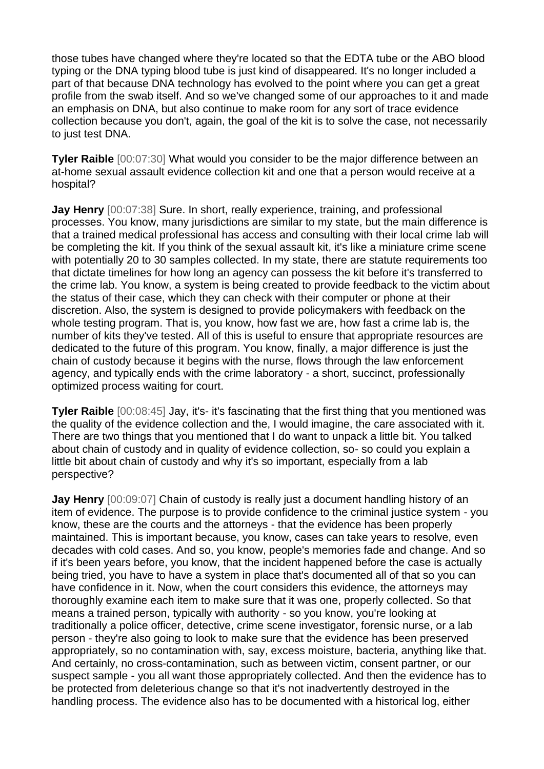those tubes have changed where they're located so that the EDTA tube or the ABO blood typing or the DNA typing blood tube is just kind of disappeared. It's no longer included a part of that because DNA technology has evolved to the point where you can get a great profile from the swab itself. And so we've changed some of our approaches to it and made an emphasis on DNA, but also continue to make room for any sort of trace evidence collection because you don't, again, the goal of the kit is to solve the case, not necessarily to just test DNA.

**Tyler Raible** [00:07:30] What would you consider to be the major difference between an at-home sexual assault evidence collection kit and one that a person would receive at a hospital?

**Jay Henry** [00:07:38] Sure. In short, really experience, training, and professional processes. You know, many jurisdictions are similar to my state, but the main difference is that a trained medical professional has access and consulting with their local crime lab will be completing the kit. If you think of the sexual assault kit, it's like a miniature crime scene with potentially 20 to 30 samples collected. In my state, there are statute requirements too that dictate timelines for how long an agency can possess the kit before it's transferred to the crime lab. You know, a system is being created to provide feedback to the victim about the status of their case, which they can check with their computer or phone at their discretion. Also, the system is designed to provide policymakers with feedback on the whole testing program. That is, you know, how fast we are, how fast a crime lab is, the number of kits they've tested. All of this is useful to ensure that appropriate resources are dedicated to the future of this program. You know, finally, a major difference is just the chain of custody because it begins with the nurse, flows through the law enforcement agency, and typically ends with the crime laboratory - a short, succinct, professionally optimized process waiting for court.

**Tyler Raible** [00:08:45] Jay, it's- it's fascinating that the first thing that you mentioned was the quality of the evidence collection and the, I would imagine, the care associated with it. There are two things that you mentioned that I do want to unpack a little bit. You talked about chain of custody and in quality of evidence collection, so- so could you explain a little bit about chain of custody and why it's so important, especially from a lab perspective?

**Jay Henry** [00:09:07] Chain of custody is really just a document handling history of an item of evidence. The purpose is to provide confidence to the criminal justice system - you know, these are the courts and the attorneys - that the evidence has been properly maintained. This is important because, you know, cases can take years to resolve, even decades with cold cases. And so, you know, people's memories fade and change. And so if it's been years before, you know, that the incident happened before the case is actually being tried, you have to have a system in place that's documented all of that so you can have confidence in it. Now, when the court considers this evidence, the attorneys may thoroughly examine each item to make sure that it was one, properly collected. So that means a trained person, typically with authority - so you know, you're looking at traditionally a police officer, detective, crime scene investigator, forensic nurse, or a lab person - they're also going to look to make sure that the evidence has been preserved appropriately, so no contamination with, say, excess moisture, bacteria, anything like that. And certainly, no cross-contamination, such as between victim, consent partner, or our suspect sample - you all want those appropriately collected. And then the evidence has to be protected from deleterious change so that it's not inadvertently destroyed in the handling process. The evidence also has to be documented with a historical log, either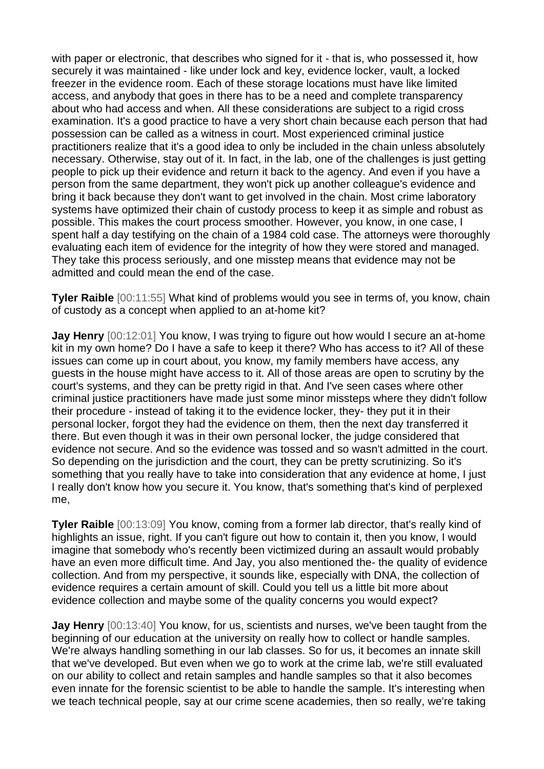with paper or electronic, that describes who signed for it - that is, who possessed it, how securely it was maintained - like under lock and key, evidence locker, vault, a locked freezer in the evidence room. Each of these storage locations must have like limited access, and anybody that goes in there has to be a need and complete transparency about who had access and when. All these considerations are subject to a rigid cross examination. It's a good practice to have a very short chain because each person that had possession can be called as a witness in court. Most experienced criminal justice practitioners realize that it's a good idea to only be included in the chain unless absolutely necessary. Otherwise, stay out of it. In fact, in the lab, one of the challenges is just getting people to pick up their evidence and return it back to the agency. And even if you have a person from the same department, they won't pick up another colleague's evidence and bring it back because they don't want to get involved in the chain. Most crime laboratory systems have optimized their chain of custody process to keep it as simple and robust as possible. This makes the court process smoother. However, you know, in one case, I spent half a day testifying on the chain of a 1984 cold case. The attorneys were thoroughly evaluating each item of evidence for the integrity of how they were stored and managed. They take this process seriously, and one misstep means that evidence may not be admitted and could mean the end of the case.

**Tyler Raible** [00:11:55] What kind of problems would you see in terms of, you know, chain of custody as a concept when applied to an at-home kit?

**Jay Henry** [00:12:01] You know, I was trying to figure out how would I secure an at-home kit in my own home? Do I have a safe to keep it there? Who has access to it? All of these issues can come up in court about, you know, my family members have access, any guests in the house might have access to it. All of those areas are open to scrutiny by the court's systems, and they can be pretty rigid in that. And I've seen cases where other criminal justice practitioners have made just some minor missteps where they didn't follow their procedure - instead of taking it to the evidence locker, they- they put it in their personal locker, forgot they had the evidence on them, then the next day transferred it there. But even though it was in their own personal locker, the judge considered that evidence not secure. And so the evidence was tossed and so wasn't admitted in the court. So depending on the jurisdiction and the court, they can be pretty scrutinizing. So it's something that you really have to take into consideration that any evidence at home, I just I really don't know how you secure it. You know, that's something that's kind of perplexed me,

**Tyler Raible** [00:13:09] You know, coming from a former lab director, that's really kind of highlights an issue, right. If you can't figure out how to contain it, then you know, I would imagine that somebody who's recently been victimized during an assault would probably have an even more difficult time. And Jay, you also mentioned the- the quality of evidence collection. And from my perspective, it sounds like, especially with DNA, the collection of evidence requires a certain amount of skill. Could you tell us a little bit more about evidence collection and maybe some of the quality concerns you would expect?

**Jay Henry** [00:13:40] You know, for us, scientists and nurses, we've been taught from the beginning of our education at the university on really how to collect or handle samples. We're always handling something in our lab classes. So for us, it becomes an innate skill that we've developed. But even when we go to work at the crime lab, we're still evaluated on our ability to collect and retain samples and handle samples so that it also becomes even innate for the forensic scientist to be able to handle the sample. It's interesting when we teach technical people, say at our crime scene academies, then so really, we're taking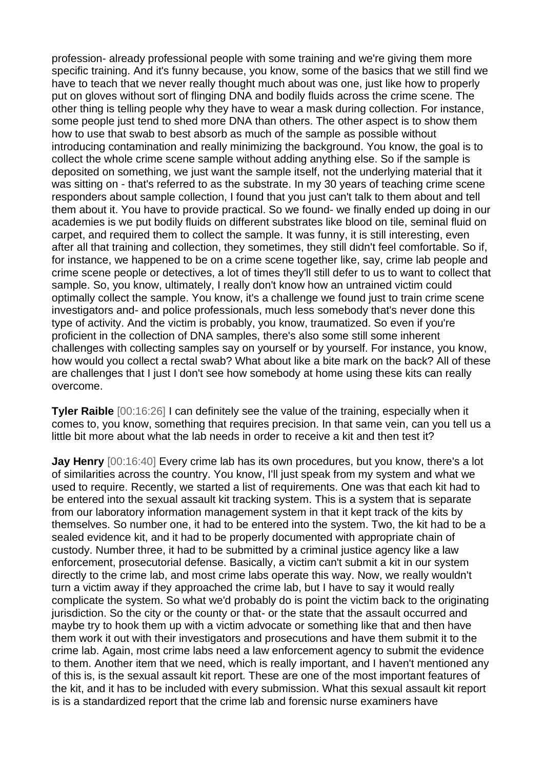profession- already professional people with some training and we're giving them more specific training. And it's funny because, you know, some of the basics that we still find we have to teach that we never really thought much about was one, just like how to properly put on gloves without sort of flinging DNA and bodily fluids across the crime scene. The other thing is telling people why they have to wear a mask during collection. For instance, some people just tend to shed more DNA than others. The other aspect is to show them how to use that swab to best absorb as much of the sample as possible without introducing contamination and really minimizing the background. You know, the goal is to collect the whole crime scene sample without adding anything else. So if the sample is deposited on something, we just want the sample itself, not the underlying material that it was sitting on - that's referred to as the substrate. In my 30 years of teaching crime scene responders about sample collection, I found that you just can't talk to them about and tell them about it. You have to provide practical. So we found- we finally ended up doing in our academies is we put bodily fluids on different substrates like blood on tile, seminal fluid on carpet, and required them to collect the sample. It was funny, it is still interesting, even after all that training and collection, they sometimes, they still didn't feel comfortable. So if, for instance, we happened to be on a crime scene together like, say, crime lab people and crime scene people or detectives, a lot of times they'll still defer to us to want to collect that sample. So, you know, ultimately, I really don't know how an untrained victim could optimally collect the sample. You know, it's a challenge we found just to train crime scene investigators and- and police professionals, much less somebody that's never done this type of activity. And the victim is probably, you know, traumatized. So even if you're proficient in the collection of DNA samples, there's also some still some inherent challenges with collecting samples say on yourself or by yourself. For instance, you know, how would you collect a rectal swab? What about like a bite mark on the back? All of these are challenges that I just I don't see how somebody at home using these kits can really overcome.

**Tyler Raible** [00:16:26] I can definitely see the value of the training, especially when it comes to, you know, something that requires precision. In that same vein, can you tell us a little bit more about what the lab needs in order to receive a kit and then test it?

**Jay Henry** [00:16:40] Every crime lab has its own procedures, but you know, there's a lot of similarities across the country. You know, I'll just speak from my system and what we used to require. Recently, we started a list of requirements. One was that each kit had to be entered into the sexual assault kit tracking system. This is a system that is separate from our laboratory information management system in that it kept track of the kits by themselves. So number one, it had to be entered into the system. Two, the kit had to be a sealed evidence kit, and it had to be properly documented with appropriate chain of custody. Number three, it had to be submitted by a criminal justice agency like a law enforcement, prosecutorial defense. Basically, a victim can't submit a kit in our system directly to the crime lab, and most crime labs operate this way. Now, we really wouldn't turn a victim away if they approached the crime lab, but I have to say it would really complicate the system. So what we'd probably do is point the victim back to the originating jurisdiction. So the city or the county or that- or the state that the assault occurred and maybe try to hook them up with a victim advocate or something like that and then have them work it out with their investigators and prosecutions and have them submit it to the crime lab. Again, most crime labs need a law enforcement agency to submit the evidence to them. Another item that we need, which is really important, and I haven't mentioned any of this is, is the sexual assault kit report. These are one of the most important features of the kit, and it has to be included with every submission. What this sexual assault kit report is is a standardized report that the crime lab and forensic nurse examiners have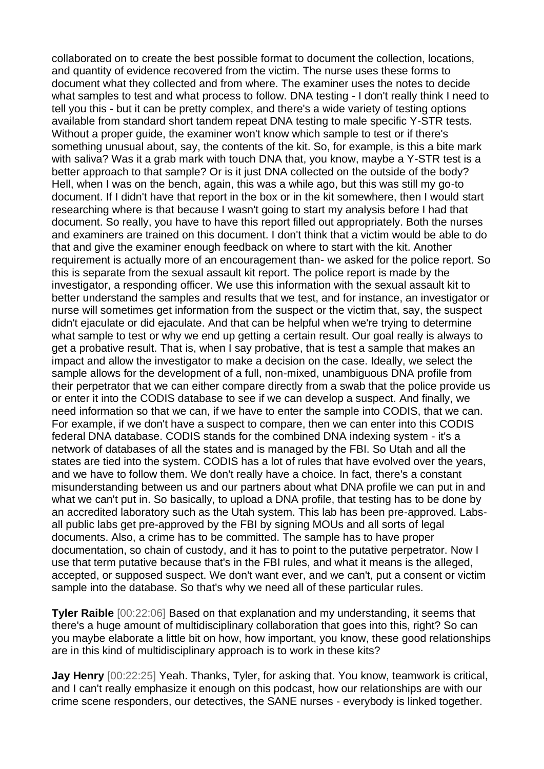collaborated on to create the best possible format to document the collection, locations, and quantity of evidence recovered from the victim. The nurse uses these forms to document what they collected and from where. The examiner uses the notes to decide what samples to test and what process to follow. DNA testing - I don't really think I need to tell you this - but it can be pretty complex, and there's a wide variety of testing options available from standard short tandem repeat DNA testing to male specific Y-STR tests. Without a proper guide, the examiner won't know which sample to test or if there's something unusual about, say, the contents of the kit. So, for example, is this a bite mark with saliva? Was it a grab mark with touch DNA that, you know, maybe a Y-STR test is a better approach to that sample? Or is it just DNA collected on the outside of the body? Hell, when I was on the bench, again, this was a while ago, but this was still my go-to document. If I didn't have that report in the box or in the kit somewhere, then I would start researching where is that because I wasn't going to start my analysis before I had that document. So really, you have to have this report filled out appropriately. Both the nurses and examiners are trained on this document. I don't think that a victim would be able to do that and give the examiner enough feedback on where to start with the kit. Another requirement is actually more of an encouragement than- we asked for the police report. So this is separate from the sexual assault kit report. The police report is made by the investigator, a responding officer. We use this information with the sexual assault kit to better understand the samples and results that we test, and for instance, an investigator or nurse will sometimes get information from the suspect or the victim that, say, the suspect didn't ejaculate or did ejaculate. And that can be helpful when we're trying to determine what sample to test or why we end up getting a certain result. Our goal really is always to get a probative result. That is, when I say probative, that is test a sample that makes an impact and allow the investigator to make a decision on the case. Ideally, we select the sample allows for the development of a full, non-mixed, unambiguous DNA profile from their perpetrator that we can either compare directly from a swab that the police provide us or enter it into the CODIS database to see if we can develop a suspect. And finally, we need information so that we can, if we have to enter the sample into CODIS, that we can. For example, if we don't have a suspect to compare, then we can enter into this CODIS federal DNA database. CODIS stands for the combined DNA indexing system - it's a network of databases of all the states and is managed by the FBI. So Utah and all the states are tied into the system. CODIS has a lot of rules that have evolved over the years, and we have to follow them. We don't really have a choice. In fact, there's a constant misunderstanding between us and our partners about what DNA profile we can put in and what we can't put in. So basically, to upload a DNA profile, that testing has to be done by an accredited laboratory such as the Utah system. This lab has been pre-approved. Labsall public labs get pre-approved by the FBI by signing MOUs and all sorts of legal documents. Also, a crime has to be committed. The sample has to have proper documentation, so chain of custody, and it has to point to the putative perpetrator. Now I use that term putative because that's in the FBI rules, and what it means is the alleged, accepted, or supposed suspect. We don't want ever, and we can't, put a consent or victim sample into the database. So that's why we need all of these particular rules.

**Tyler Raible** [00:22:06] Based on that explanation and my understanding, it seems that there's a huge amount of multidisciplinary collaboration that goes into this, right? So can you maybe elaborate a little bit on how, how important, you know, these good relationships are in this kind of multidisciplinary approach is to work in these kits?

**Jay Henry** [00:22:25] Yeah. Thanks, Tyler, for asking that. You know, teamwork is critical, and I can't really emphasize it enough on this podcast, how our relationships are with our crime scene responders, our detectives, the SANE nurses - everybody is linked together.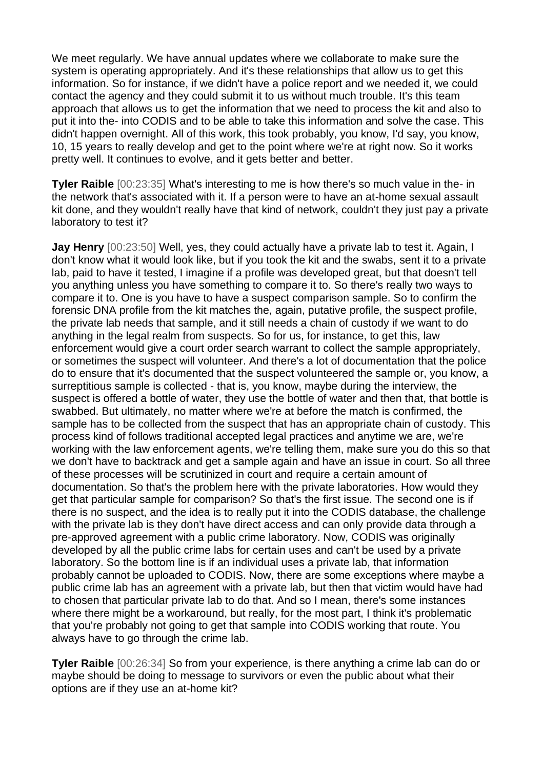We meet regularly. We have annual updates where we collaborate to make sure the system is operating appropriately. And it's these relationships that allow us to get this information. So for instance, if we didn't have a police report and we needed it, we could contact the agency and they could submit it to us without much trouble. It's this team approach that allows us to get the information that we need to process the kit and also to put it into the- into CODIS and to be able to take this information and solve the case. This didn't happen overnight. All of this work, this took probably, you know, I'd say, you know, 10, 15 years to really develop and get to the point where we're at right now. So it works pretty well. It continues to evolve, and it gets better and better.

**Tyler Raible** [00:23:35] What's interesting to me is how there's so much value in the- in the network that's associated with it. If a person were to have an at-home sexual assault kit done, and they wouldn't really have that kind of network, couldn't they just pay a private laboratory to test it?

**Jay Henry** [00:23:50] Well, yes, they could actually have a private lab to test it. Again, I don't know what it would look like, but if you took the kit and the swabs, sent it to a private lab, paid to have it tested, I imagine if a profile was developed great, but that doesn't tell you anything unless you have something to compare it to. So there's really two ways to compare it to. One is you have to have a suspect comparison sample. So to confirm the forensic DNA profile from the kit matches the, again, putative profile, the suspect profile, the private lab needs that sample, and it still needs a chain of custody if we want to do anything in the legal realm from suspects. So for us, for instance, to get this, law enforcement would give a court order search warrant to collect the sample appropriately, or sometimes the suspect will volunteer. And there's a lot of documentation that the police do to ensure that it's documented that the suspect volunteered the sample or, you know, a surreptitious sample is collected - that is, you know, maybe during the interview, the suspect is offered a bottle of water, they use the bottle of water and then that, that bottle is swabbed. But ultimately, no matter where we're at before the match is confirmed, the sample has to be collected from the suspect that has an appropriate chain of custody. This process kind of follows traditional accepted legal practices and anytime we are, we're working with the law enforcement agents, we're telling them, make sure you do this so that we don't have to backtrack and get a sample again and have an issue in court. So all three of these processes will be scrutinized in court and require a certain amount of documentation. So that's the problem here with the private laboratories. How would they get that particular sample for comparison? So that's the first issue. The second one is if there is no suspect, and the idea is to really put it into the CODIS database, the challenge with the private lab is they don't have direct access and can only provide data through a pre-approved agreement with a public crime laboratory. Now, CODIS was originally developed by all the public crime labs for certain uses and can't be used by a private laboratory. So the bottom line is if an individual uses a private lab, that information probably cannot be uploaded to CODIS. Now, there are some exceptions where maybe a public crime lab has an agreement with a private lab, but then that victim would have had to chosen that particular private lab to do that. And so I mean, there's some instances where there might be a workaround, but really, for the most part, I think it's problematic that you're probably not going to get that sample into CODIS working that route. You always have to go through the crime lab.

**Tyler Raible** [00:26:34] So from your experience, is there anything a crime lab can do or maybe should be doing to message to survivors or even the public about what their options are if they use an at-home kit?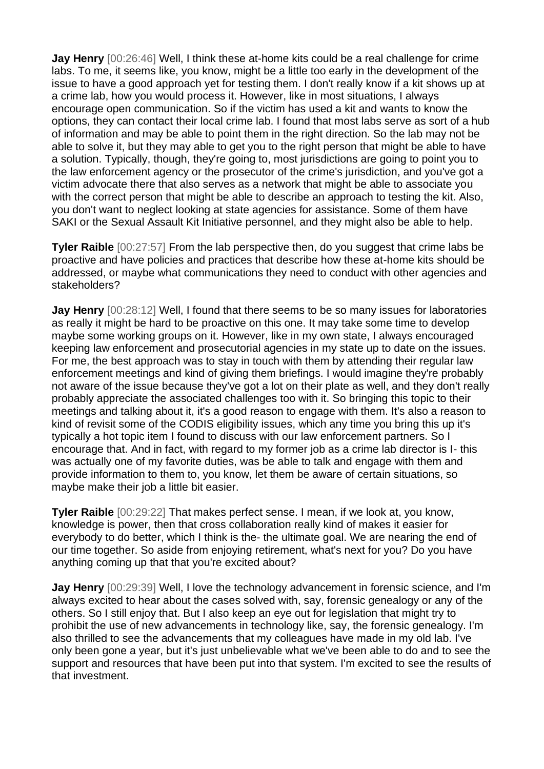**Jay Henry** [00:26:46] Well, I think these at-home kits could be a real challenge for crime labs. To me, it seems like, you know, might be a little too early in the development of the issue to have a good approach yet for testing them. I don't really know if a kit shows up at a crime lab, how you would process it. However, like in most situations, I always encourage open communication. So if the victim has used a kit and wants to know the options, they can contact their local crime lab. I found that most labs serve as sort of a hub of information and may be able to point them in the right direction. So the lab may not be able to solve it, but they may able to get you to the right person that might be able to have a solution. Typically, though, they're going to, most jurisdictions are going to point you to the law enforcement agency or the prosecutor of the crime's jurisdiction, and you've got a victim advocate there that also serves as a network that might be able to associate you with the correct person that might be able to describe an approach to testing the kit. Also, you don't want to neglect looking at state agencies for assistance. Some of them have SAKI or the Sexual Assault Kit Initiative personnel, and they might also be able to help.

**Tyler Raible** [00:27:57] From the lab perspective then, do you suggest that crime labs be proactive and have policies and practices that describe how these at-home kits should be addressed, or maybe what communications they need to conduct with other agencies and stakeholders?

**Jay Henry** [00:28:12] Well, I found that there seems to be so many issues for laboratories as really it might be hard to be proactive on this one. It may take some time to develop maybe some working groups on it. However, like in my own state, I always encouraged keeping law enforcement and prosecutorial agencies in my state up to date on the issues. For me, the best approach was to stay in touch with them by attending their regular law enforcement meetings and kind of giving them briefings. I would imagine they're probably not aware of the issue because they've got a lot on their plate as well, and they don't really probably appreciate the associated challenges too with it. So bringing this topic to their meetings and talking about it, it's a good reason to engage with them. It's also a reason to kind of revisit some of the CODIS eligibility issues, which any time you bring this up it's typically a hot topic item I found to discuss with our law enforcement partners. So I encourage that. And in fact, with regard to my former job as a crime lab director is I- this was actually one of my favorite duties, was be able to talk and engage with them and provide information to them to, you know, let them be aware of certain situations, so maybe make their job a little bit easier.

**Tyler Raible** [00:29:22] That makes perfect sense. I mean, if we look at, you know, knowledge is power, then that cross collaboration really kind of makes it easier for everybody to do better, which I think is the- the ultimate goal. We are nearing the end of our time together. So aside from enjoying retirement, what's next for you? Do you have anything coming up that that you're excited about?

**Jay Henry** [00:29:39] Well, I love the technology advancement in forensic science, and I'm always excited to hear about the cases solved with, say, forensic genealogy or any of the others. So I still enjoy that. But I also keep an eye out for legislation that might try to prohibit the use of new advancements in technology like, say, the forensic genealogy. I'm also thrilled to see the advancements that my colleagues have made in my old lab. I've only been gone a year, but it's just unbelievable what we've been able to do and to see the support and resources that have been put into that system. I'm excited to see the results of that investment.